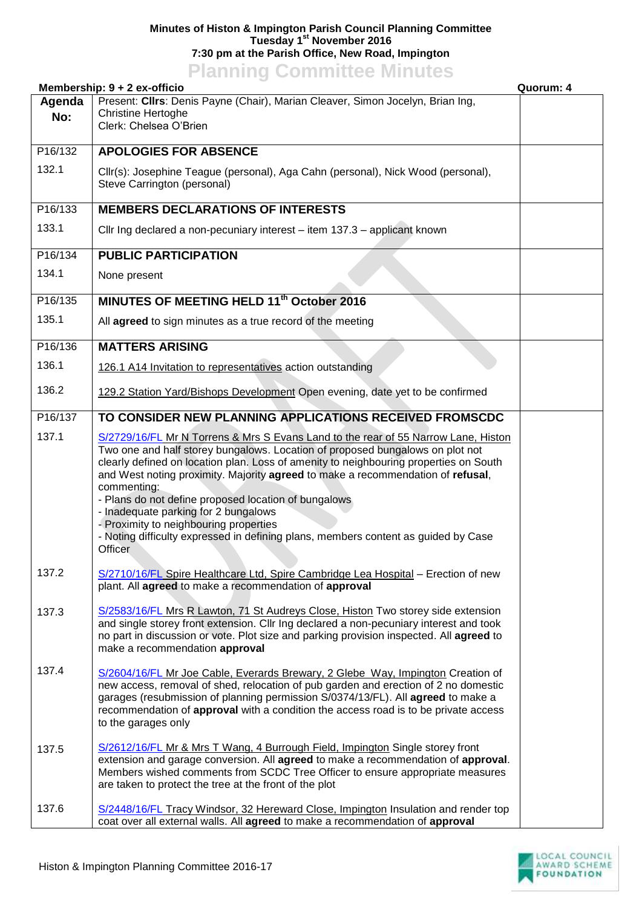## **Minutes of Histon & Impington Parish Council Planning Committee Tuesday 1 st November 2016 7:30 pm at the Parish Office, New Road, Impington**

## **Planning Committee Minutes**

|               | Membership: 9 + 2 ex-officio                                                                                                                                                                                                                                                                                                                                                                                                                                                                                                                                                                              | Quorum: 4 |
|---------------|-----------------------------------------------------------------------------------------------------------------------------------------------------------------------------------------------------------------------------------------------------------------------------------------------------------------------------------------------------------------------------------------------------------------------------------------------------------------------------------------------------------------------------------------------------------------------------------------------------------|-----------|
| Agenda<br>No: | Present: CIIrs: Denis Payne (Chair), Marian Cleaver, Simon Jocelyn, Brian Ing,<br><b>Christine Hertoghe</b><br>Clerk: Chelsea O'Brien                                                                                                                                                                                                                                                                                                                                                                                                                                                                     |           |
| P16/132       | <b>APOLOGIES FOR ABSENCE</b>                                                                                                                                                                                                                                                                                                                                                                                                                                                                                                                                                                              |           |
| 132.1         | Cllr(s): Josephine Teague (personal), Aga Cahn (personal), Nick Wood (personal),<br>Steve Carrington (personal)                                                                                                                                                                                                                                                                                                                                                                                                                                                                                           |           |
| P16/133       | <b>MEMBERS DECLARATIONS OF INTERESTS</b>                                                                                                                                                                                                                                                                                                                                                                                                                                                                                                                                                                  |           |
| 133.1         | Cllr Ing declared a non-pecuniary interest - item 137.3 - applicant known                                                                                                                                                                                                                                                                                                                                                                                                                                                                                                                                 |           |
| P16/134       | <b>PUBLIC PARTICIPATION</b>                                                                                                                                                                                                                                                                                                                                                                                                                                                                                                                                                                               |           |
| 134.1         | None present                                                                                                                                                                                                                                                                                                                                                                                                                                                                                                                                                                                              |           |
| P16/135       | MINUTES OF MEETING HELD 11 <sup>th</sup> October 2016                                                                                                                                                                                                                                                                                                                                                                                                                                                                                                                                                     |           |
| 135.1         | All <b>agreed</b> to sign minutes as a true record of the meeting                                                                                                                                                                                                                                                                                                                                                                                                                                                                                                                                         |           |
| P16/136       | <b>MATTERS ARISING</b>                                                                                                                                                                                                                                                                                                                                                                                                                                                                                                                                                                                    |           |
| 136.1         | 126.1 A14 Invitation to representatives action outstanding                                                                                                                                                                                                                                                                                                                                                                                                                                                                                                                                                |           |
| 136.2         | 129.2 Station Yard/Bishops Development Open evening, date yet to be confirmed                                                                                                                                                                                                                                                                                                                                                                                                                                                                                                                             |           |
| P16/137       | TO CONSIDER NEW PLANNING APPLICATIONS RECEIVED FROMSCDC                                                                                                                                                                                                                                                                                                                                                                                                                                                                                                                                                   |           |
| 137.1         | S/2729/16/FL Mr N Torrens & Mrs S Evans Land to the rear of 55 Narrow Lane, Histon<br>Two one and half storey bungalows. Location of proposed bungalows on plot not<br>clearly defined on location plan. Loss of amenity to neighbouring properties on South<br>and West noting proximity. Majority agreed to make a recommendation of refusal,<br>commenting:<br>- Plans do not define proposed location of bungalows<br>- Inadequate parking for 2 bungalows<br>- Proximity to neighbouring properties<br>- Noting difficulty expressed in defining plans, members content as guided by Case<br>Officer |           |
| 137.2         | S/2710/16/FL Spire Healthcare Ltd, Spire Cambridge Lea Hospital - Erection of new<br>plant. All agreed to make a recommendation of approval                                                                                                                                                                                                                                                                                                                                                                                                                                                               |           |
| 137.3         | S/2583/16/FL Mrs R Lawton, 71 St Audreys Close, Histon Two storey side extension<br>and single storey front extension. Cllr Ing declared a non-pecuniary interest and took<br>no part in discussion or vote. Plot size and parking provision inspected. All agreed to<br>make a recommendation approval                                                                                                                                                                                                                                                                                                   |           |
| 137.4         | S/2604/16/FL Mr Joe Cable, Everards Brewary, 2 Glebe Way, Impington Creation of<br>new access, removal of shed, relocation of pub garden and erection of 2 no domestic<br>garages (resubmission of planning permission S/0374/13/FL). All agreed to make a<br>recommendation of approval with a condition the access road is to be private access<br>to the garages only                                                                                                                                                                                                                                  |           |
| 137.5         | S/2612/16/FL Mr & Mrs T Wang, 4 Burrough Field, Impington Single storey front<br>extension and garage conversion. All agreed to make a recommendation of approval.<br>Members wished comments from SCDC Tree Officer to ensure appropriate measures<br>are taken to protect the tree at the front of the plot                                                                                                                                                                                                                                                                                             |           |
| 137.6         | S/2448/16/FL Tracy Windsor, 32 Hereward Close, Impington Insulation and render top<br>coat over all external walls. All agreed to make a recommendation of approval                                                                                                                                                                                                                                                                                                                                                                                                                                       |           |